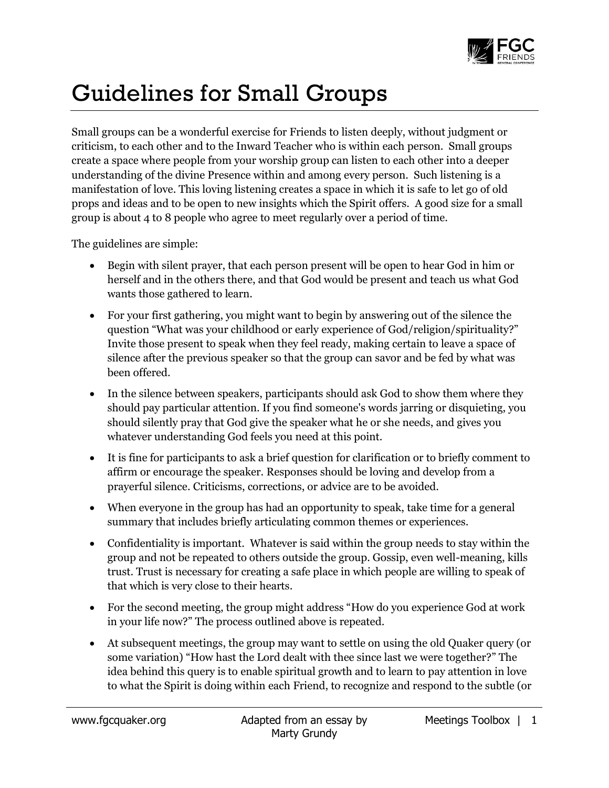

## Guidelines for Small Groups

Small groups can be a wonderful exercise for Friends to listen deeply, without judgment or criticism, to each other and to the Inward Teacher who is within each person. Small groups create a space where people from your worship group can listen to each other into a deeper understanding of the divine Presence within and among every person. Such listening is a manifestation of love. This loving listening creates a space in which it is safe to let go of old props and ideas and to be open to new insights which the Spirit offers. A good size for a small group is about 4 to 8 people who agree to meet regularly over a period of time.

The guidelines are simple:

- Begin with silent prayer, that each person present will be open to hear God in him or herself and in the others there, and that God would be present and teach us what God wants those gathered to learn.
- For your first gathering, you might want to begin by answering out of the silence the question "What was your childhood or early experience of God/religion/spirituality?" Invite those present to speak when they feel ready, making certain to leave a space of silence after the previous speaker so that the group can savor and be fed by what was been offered.
- In the silence between speakers, participants should ask God to show them where they should pay particular attention. If you find someone's words jarring or disquieting, you should silently pray that God give the speaker what he or she needs, and gives you whatever understanding God feels you need at this point.
- It is fine for participants to ask a brief question for clarification or to briefly comment to affirm or encourage the speaker. Responses should be loving and develop from a prayerful silence. Criticisms, corrections, or advice are to be avoided.
- When everyone in the group has had an opportunity to speak, take time for a general summary that includes briefly articulating common themes or experiences.
- Confidentiality is important. Whatever is said within the group needs to stay within the group and not be repeated to others outside the group. Gossip, even well-meaning, kills trust. Trust is necessary for creating a safe place in which people are willing to speak of that which is very close to their hearts.
- For the second meeting, the group might address "How do you experience God at work in your life now?" The process outlined above is repeated.
- At subsequent meetings, the group may want to settle on using the old Quaker query (or some variation) "How hast the Lord dealt with thee since last we were together?" The idea behind this query is to enable spiritual growth and to learn to pay attention in love to what the Spirit is doing within each Friend, to recognize and respond to the subtle (or